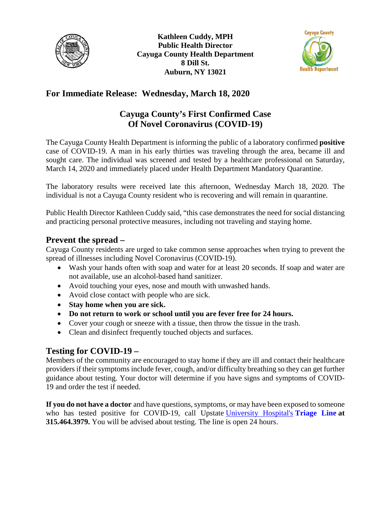



## **For Immediate Release: Wednesday, March 18, 2020**

## **Cayuga County's First Confirmed Case Of Novel Coronavirus (COVID-19)**

The Cayuga County Health Department is informing the public of a laboratory confirmed **positive**  case of COVID-19. A man in his early thirties was traveling through the area, became ill and sought care. The individual was screened and tested by a healthcare professional on Saturday, March 14, 2020 and immediately placed under Health Department Mandatory Quarantine.

The laboratory results were received late this afternoon, Wednesday March 18, 2020. The individual is not a Cayuga County resident who is recovering and will remain in quarantine.

Public Health Director Kathleen Cuddy said, "this case demonstrates the need for social distancing and practicing personal protective measures, including not traveling and staying home.

## **Prevent the spread –**

Cayuga County residents are urged to take common sense approaches when trying to prevent the spread of illnesses including Novel Coronavirus (COVID-19).

- Wash your hands often with soap and water for at least 20 seconds. If soap and water are not available, use an alcohol-based hand sanitizer.
- Avoid touching your eyes, nose and mouth with unwashed hands.
- Avoid close contact with people who are sick.
- **Stay home when you are sick.**
- **Do not return to work or school until you are fever free for 24 hours.**
- Cover your cough or sneeze with a tissue, then throw the tissue in the trash.
- Clean and disinfect frequently touched objects and surfaces.

## **Testing for COVID-19 –**

Members of the community are encouraged to stay home if they are ill and contact their healthcare providers if their symptoms include fever, cough, and/or difficulty breathing so they can get further guidance about testing. Your doctor will determine if you have signs and symptoms of COVID-19 and order the test if needed.

**If you do not have a doctor** and have questions, symptoms, or may have been exposed to someone who has tested positive for COVID-19, call Upstate [University Hospital's](https://www.upstate.edu/news/articles/2020/2020-03-14-clark.php) **Triage Line at 315.464.3979.** You will be advised about testing. The line is open 24 hours.